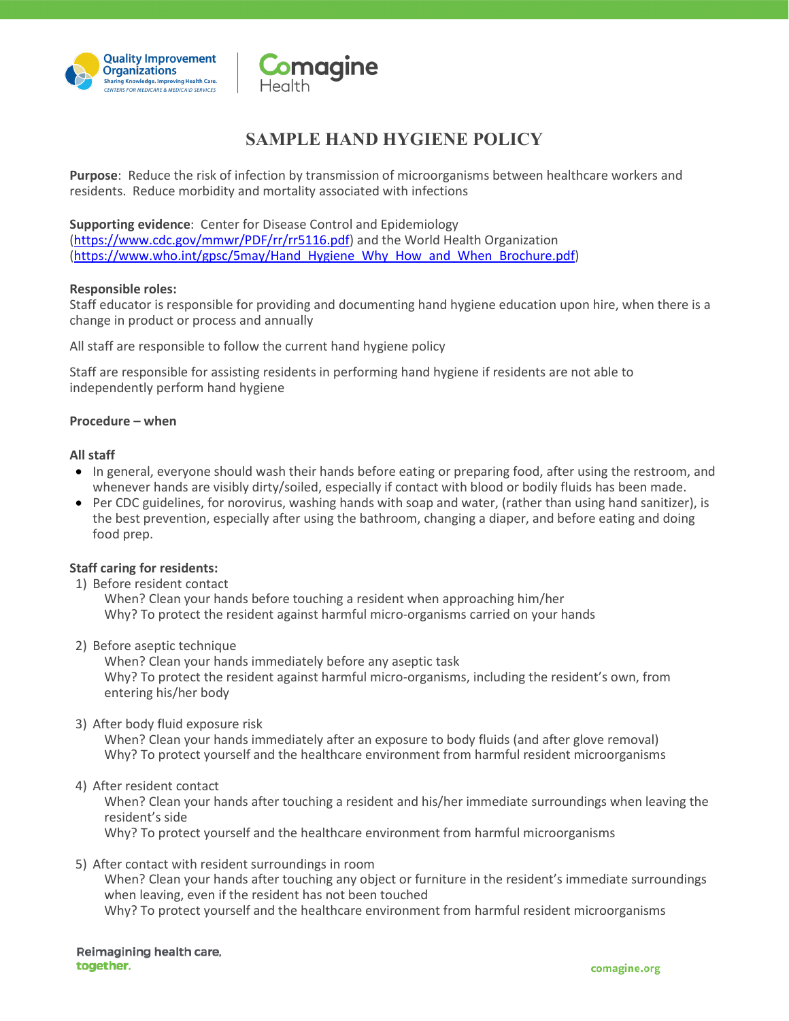



## **SAMPLE HAND HYGIENE POLICY**

**Purpose**: Reduce the risk of infection by transmission of microorganisms between healthcare workers and residents. Reduce morbidity and mortality associated with infections

**Supporting evidence**: Center for Disease Control and Epidemiology

[\(https://www.cdc.gov/mmwr/PDF/rr/rr5116.pdf\)](https://www.cdc.gov/mmwr/PDF/rr/rr5116.pdf) and the World Health Organization [\(https://www.who.int/gpsc/5may/Hand\\_Hygiene\\_Why\\_How\\_and\\_When\\_Brochure.pdf\)](https://www.who.int/gpsc/5may/Hand_Hygiene_Why_How_and_When_Brochure.pdf)

#### **Responsible roles:**

Staff educator is responsible for providing and documenting hand hygiene education upon hire, when there is a change in product or process and annually

All staff are responsible to follow the current hand hygiene policy

Staff are responsible for assisting residents in performing hand hygiene if residents are not able to independently perform hand hygiene

#### **Procedure – when**

#### **All staff**

- In general, everyone should wash their hands before eating or preparing food, after using the restroom, and whenever hands are visibly dirty/soiled, especially if contact with blood or bodily fluids has been made.
- Per CDC guidelines, for norovirus, washing hands with soap and water, (rather than using hand sanitizer), is the best prevention, especially after using the bathroom, changing a diaper, and before eating and doing food prep.

## **Staff caring for residents:**

1) Before resident contact

When? Clean your hands before touching a resident when approaching him/her Why? To protect the resident against harmful micro-organisms carried on your hands

2) Before aseptic technique

When? Clean your hands immediately before any aseptic task Why? To protect the resident against harmful micro-organisms, including the resident's own, from entering his/her body

3) After body fluid exposure risk

When? Clean your hands immediately after an exposure to body fluids (and after glove removal) Why? To protect yourself and the healthcare environment from harmful resident microorganisms

4) After resident contact

When? Clean your hands after touching a resident and his/her immediate surroundings when leaving the resident's side

Why? To protect yourself and the healthcare environment from harmful microorganisms

5) After contact with resident surroundings in room

When? Clean your hands after touching any object or furniture in the resident's immediate surroundings when leaving, even if the resident has not been touched Why? To protect yourself and the healthcare environment from harmful resident microorganisms

Reimagining health care, together.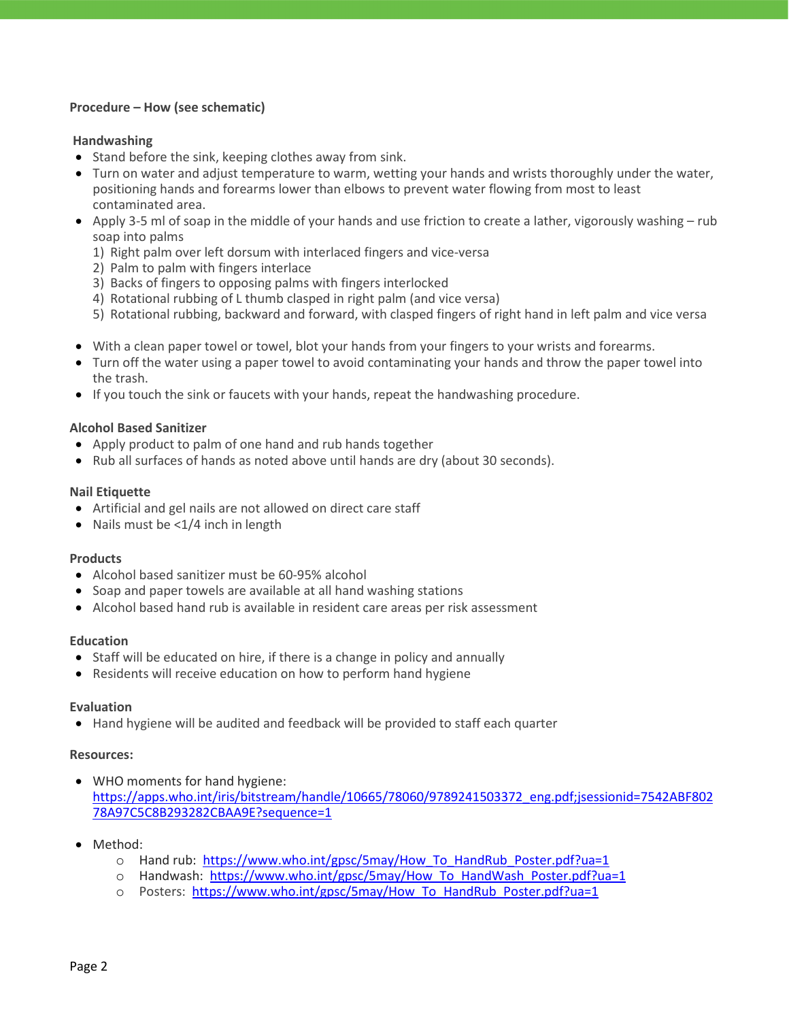## **Procedure – How (see schematic)**

### **Handwashing**

- Stand before the sink, keeping clothes away from sink.
- Turn on water and adjust temperature to warm, wetting your hands and wrists thoroughly under the water, positioning hands and forearms lower than elbows to prevent water flowing from most to least contaminated area.
- Apply 3-5 ml of soap in the middle of your hands and use friction to create a lather, vigorously washing rub soap into palms
	- 1) Right palm over left dorsum with interlaced fingers and vice-versa
	- 2) Palm to palm with fingers interlace
	- 3) Backs of fingers to opposing palms with fingers interlocked
	- 4) Rotational rubbing of L thumb clasped in right palm (and vice versa)
	- 5) Rotational rubbing, backward and forward, with clasped fingers of right hand in left palm and vice versa
- With a clean paper towel or towel, blot your hands from your fingers to your wrists and forearms.
- Turn off the water using a paper towel to avoid contaminating your hands and throw the paper towel into the trash.
- If you touch the sink or faucets with your hands, repeat the handwashing procedure.

#### **Alcohol Based Sanitizer**

- Apply product to palm of one hand and rub hands together
- Rub all surfaces of hands as noted above until hands are dry (about 30 seconds).

#### **Nail Etiquette**

- Artificial and gel nails are not allowed on direct care staff
- Nails must be <1/4 inch in length

#### **Products**

- Alcohol based sanitizer must be 60-95% alcohol
- Soap and paper towels are available at all hand washing stations
- Alcohol based hand rub is available in resident care areas per risk assessment

#### **Education**

- Staff will be educated on hire, if there is a change in policy and annually
- Residents will receive education on how to perform hand hygiene

#### **Evaluation**

• Hand hygiene will be audited and feedback will be provided to staff each quarter

#### **Resources:**

- WHO moments for hand hygiene: [https://apps.who.int/iris/bitstream/handle/10665/78060/9789241503372\\_eng.pdf;jsessionid=7542ABF802](https://apps.who.int/iris/bitstream/handle/10665/78060/9789241503372_eng.pdf;jsessionid=7542ABF80278A97C5C8B293282CBAA9E?sequence=1) [78A97C5C8B293282CBAA9E?sequence=1](https://apps.who.int/iris/bitstream/handle/10665/78060/9789241503372_eng.pdf;jsessionid=7542ABF80278A97C5C8B293282CBAA9E?sequence=1)
- Method:
	- o Hand rub: [https://www.who.int/gpsc/5may/How\\_To\\_HandRub\\_Poster.pdf?ua=1](https://www.who.int/gpsc/5may/How_To_HandRub_Poster.pdf?ua=1)
	- o Handwash: [https://www.who.int/gpsc/5may/How\\_To\\_HandWash\\_Poster.pdf?ua=1](https://www.who.int/gpsc/5may/How_To_HandWash_Poster.pdf?ua=1)
	- o Posters: [https://www.who.int/gpsc/5may/How\\_To\\_HandRub\\_Poster.pdf?ua=1](https://www.who.int/gpsc/5may/How_To_HandRub_Poster.pdf?ua=1)